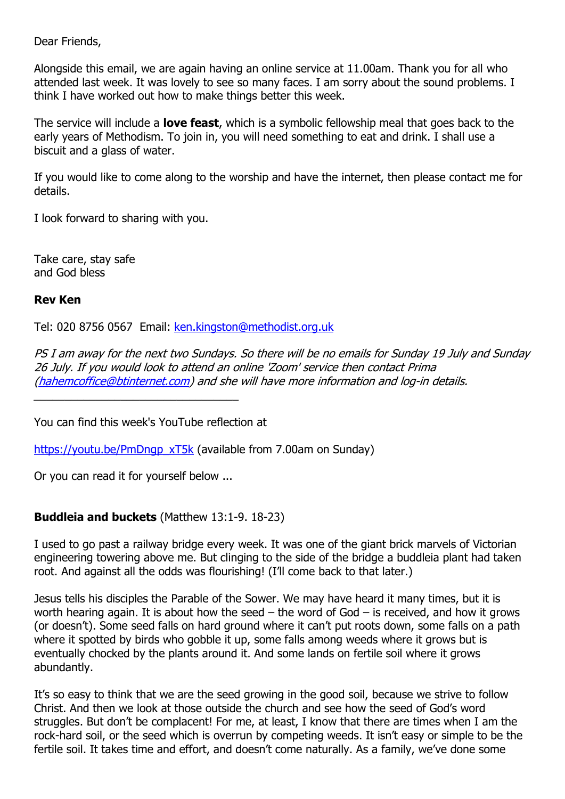Dear Friends,

Alongside this email, we are again having an online service at 11.00am. Thank you for all who attended last week. It was lovely to see so many faces. I am sorry about the sound problems. I think I have worked out how to make things better this week.

The service will include a **love feast**, which is a symbolic fellowship meal that goes back to the early years of Methodism. To join in, you will need something to eat and drink. I shall use a biscuit and a glass of water.

If you would like to come along to the worship and have the internet, then please contact me for details.

I look forward to sharing with you.

Take care, stay safe and God bless

## **Rev Ken**

Tel: 020 8756 0567 Email: [ken.kingston@methodist.org.uk](mailto:ken.kingston@methodist.org.uk)

PS I am away for the next two Sundays. So there will be no emails for Sunday 19 July and Sunday 26 July. If you would look to attend an online 'Zoom' service then contact Prima [\(hahemcoffice@btinternet.com\)](mailto:hahemcoffice@btinternet.com) and she will have more information and log-in details.

You can find this week's YouTube reflection at

[https://youtu.be/PmDngp\\_xT5k](https://youtu.be/PmDngp_xT5k) (available from 7.00am on Sunday)

Or you can read it for yourself below ...

# **Buddleia and buckets** (Matthew 13:1-9. 18-23)

I used to go past a railway bridge every week. It was one of the giant brick marvels of Victorian engineering towering above me. But clinging to the side of the bridge a buddleia plant had taken root. And against all the odds was flourishing! (I'll come back to that later.)

Jesus tells his disciples the Parable of the Sower. We may have heard it many times, but it is worth hearing again. It is about how the seed  $-$  the word of God  $-$  is received, and how it grows (or doesn't). Some seed falls on hard ground where it can't put roots down, some falls on a path where it spotted by birds who gobble it up, some falls among weeds where it grows but is eventually chocked by the plants around it. And some lands on fertile soil where it grows abundantly.

It's so easy to think that we are the seed growing in the good soil, because we strive to follow Christ. And then we look at those outside the church and see how the seed of God's word struggles. But don't be complacent! For me, at least, I know that there are times when I am the rock-hard soil, or the seed which is overrun by competing weeds. It isn't easy or simple to be the fertile soil. It takes time and effort, and doesn't come naturally. As a family, we've done some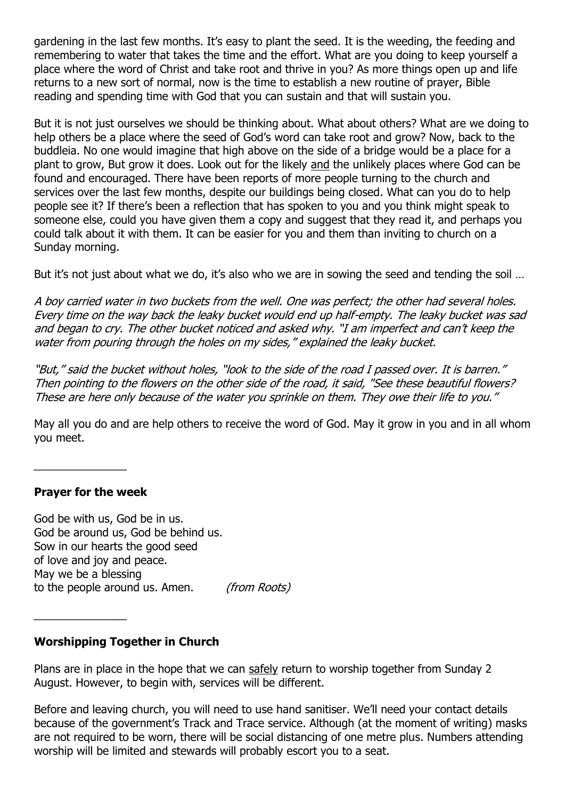gardening in the last few months. It's easy to plant the seed. It is the weeding, the feeding and remembering to water that takes the time and the effort. What are you doing to keep yourself a place where the word of Christ and take root and thrive in you? As more things open up and life returns to a new sort of normal, now is the time to establish a new routine of prayer, Bible reading and spending time with God that you can sustain and that will sustain you.

But it is not just ourselves we should be thinking about. What about others? What are we doing to help others be a place where the seed of God's word can take root and grow? Now, back to the buddleia. No one would imagine that high above on the side of a bridge would be a place for a plant to grow, But grow it does. Look out for the likely and the unlikely places where God can be found and encouraged. There have been reports of more people turning to the church and services over the last few months, despite our buildings being closed. What can you do to help people see it? If there's been a reflection that has spoken to you and you think might speak to someone else, could you have given them a copy and suggest that they read it, and perhaps you could talk about it with them. It can be easier for you and them than inviting to church on a Sunday morning.

But it's not just about what we do, it's also who we are in sowing the seed and tending the soil ...

A boy carried water in two buckets from the well. One was perfect; the other had several holes. Every time on the way back the leaky bucket would end up half-empty. The leaky bucket was sad and began to cry. The other bucket noticed and asked why. "I am imperfect and can't keep the water from pouring through the holes on my sides," explained the leaky bucket.

"But," said the bucket without holes, "look to the side of the road I passed over. It is barren." Then pointing to the flowers on the other side of the road, it said, "See these beautiful flowers? These are here only because of the water you sprinkle on them. They owe their life to you."

May all you do and are help others to receive the word of God. May it grow in you and in all whom you meet.

**Prayer for the week**

\_\_\_\_\_\_\_\_\_\_\_\_\_\_\_

God be with us, God be in us. God be around us, God be behind us. Sow in our hearts the good seed of love and joy and peace. May we be a blessing to the people around us. Amen. (from Roots)

## **Worshipping Together in Church**

Plans are in place in the hope that we can safely return to worship together from Sunday 2 August. However, to begin with, services will be different.

Before and leaving church, you will need to use hand sanitiser. We'll need your contact details because of the government's Track and Trace service. Although (at the moment of writing) masks are not required to be worn, there will be social distancing of one metre plus. Numbers attending worship will be limited and stewards will probably escort you to a seat.